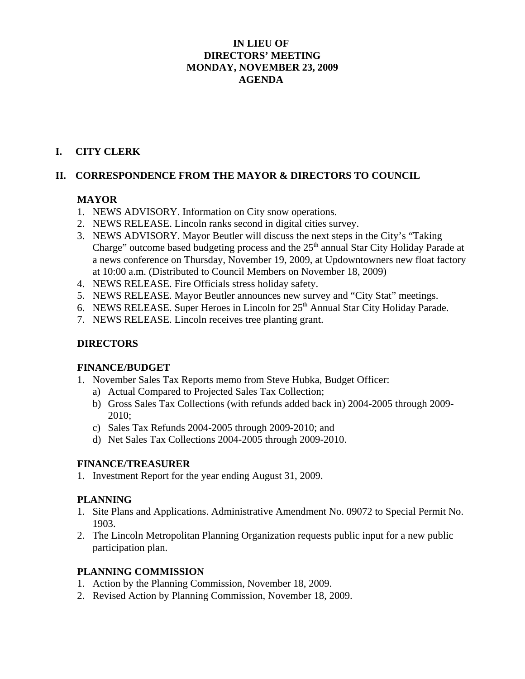#### **IN LIEU OF DIRECTORS' MEETING MONDAY, NOVEMBER 23, 2009 AGENDA**

#### **I. CITY CLERK**

#### **II. CORRESPONDENCE FROM THE MAYOR & DIRECTORS TO COUNCIL**

#### **MAYOR**

- 1. NEWS ADVISORY. Information on City snow operations.
- 2. NEWS RELEASE. Lincoln ranks second in digital cities survey.
- 3. NEWS ADVISORY. Mayor Beutler will discuss the next steps in the City's "Taking Charge" outcome based budgeting process and the 25<sup>th</sup> annual Star City Holiday Parade at a news conference on Thursday, November 19, 2009, at Updowntowners new float factory at 10:00 a.m. (Distributed to Council Members on November 18, 2009)
- 4. NEWS RELEASE. Fire Officials stress holiday safety.
- 5. NEWS RELEASE. Mayor Beutler announces new survey and "City Stat" meetings.
- 6. NEWS RELEASE. Super Heroes in Lincoln for 25<sup>th</sup> Annual Star City Holiday Parade.
- 7. NEWS RELEASE. Lincoln receives tree planting grant.

# **DIRECTORS**

# **FINANCE/BUDGET**

- 1. November Sales Tax Reports memo from Steve Hubka, Budget Officer:
	- a) Actual Compared to Projected Sales Tax Collection;
	- b) Gross Sales Tax Collections (with refunds added back in) 2004-2005 through 2009- 2010;
	- c) Sales Tax Refunds 2004-2005 through 2009-2010; and
	- d) Net Sales Tax Collections 2004-2005 through 2009-2010.

# **FINANCE/TREASURER**

1. Investment Report for the year ending August 31, 2009.

# **PLANNING**

- 1. Site Plans and Applications. Administrative Amendment No. 09072 to Special Permit No. 1903.
- 2. The Lincoln Metropolitan Planning Organization requests public input for a new public participation plan.

# **PLANNING COMMISSION**

- 1. Action by the Planning Commission, November 18, 2009.
- 2. Revised Action by Planning Commission, November 18, 2009.